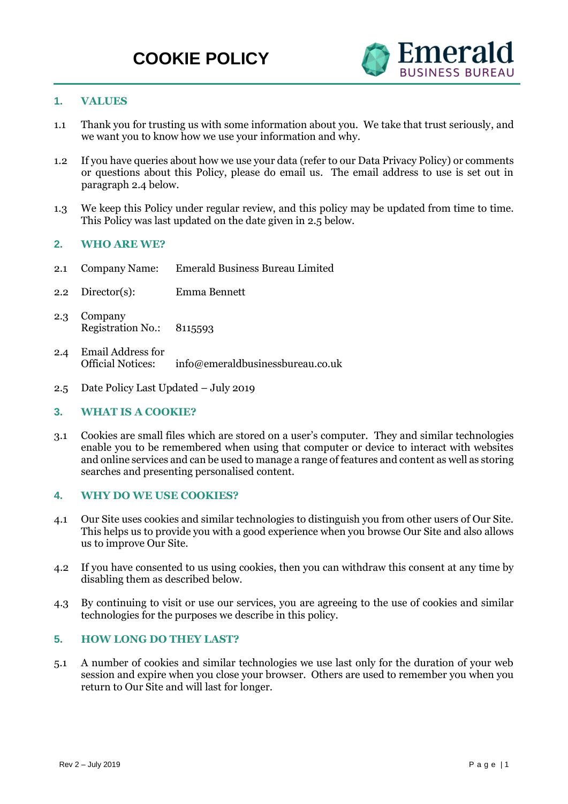

# **1. VALUES**

- 1.1 Thank you for trusting us with some information about you. We take that trust seriously, and we want you to know how we use your information and why.
- 1.2 If you have queries about how we use your data (refer to our Data Privacy Policy) or comments or questions about this Policy, please do email us. The email address to use is set out in paragraph 2.4 below.
- 1.3 We keep this Policy under regular review, and this policy may be updated from time to time. This Policy was last updated on the date given in 2.5 below.

## **2. WHO ARE WE?**

- 2.1 Company Name: Emerald Business Bureau Limited
- 2.2 Director(s): Emma Bennett
- 2.3 Company Registration No.: 8115593
- 2.4 Email Address for  $info@emeraldbusinessbureau.co.uk$
- 2.5 Date Policy Last Updated July 2019

## **3. WHAT IS A COOKIE?**

3.1 Cookies are small files which are stored on a user's computer. They and similar technologies enable you to be remembered when using that computer or device to interact with websites and online services and can be used to manage a range of features and content as well as storing searches and presenting personalised content.

## **4. WHY DO WE USE COOKIES?**

- 4.1 Our Site uses cookies and similar technologies to distinguish you from other users of Our Site. This helps us to provide you with a good experience when you browse Our Site and also allows us to improve Our Site.
- 4.2 If you have consented to us using cookies, then you can withdraw this consent at any time by disabling them as described below.
- 4.3 By continuing to visit or use our services, you are agreeing to the use of cookies and similar technologies for the purposes we describe in this policy.

#### **5. HOW LONG DO THEY LAST?**

5.1 A number of cookies and similar technologies we use last only for the duration of your web session and expire when you close your browser. Others are used to remember you when you return to Our Site and will last for longer.